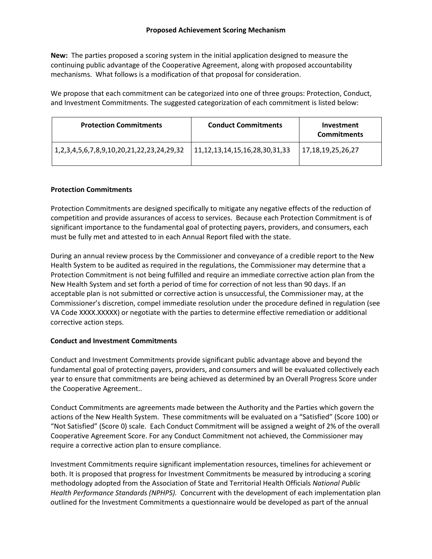**New:** The parties proposed a scoring system in the initial application designed to measure the continuing public advantage of the Cooperative Agreement, along with proposed accountability mechanisms. What follows is a modification of that proposal for consideration.

We propose that each commitment can be categorized into one of three groups: Protection, Conduct, and Investment Commitments. The suggested categorization of each commitment is listed below:

| <b>Protection Commitments</b>             | <b>Conduct Commitments</b>             | Investment<br><b>Commitments</b> |
|-------------------------------------------|----------------------------------------|----------------------------------|
| 1,2,3,4,5,6,7,8,9,10,20,21,22,23,24,29,32 | 11, 12, 13, 14, 15, 16, 28, 30, 31, 33 | 17,18,19,25,26,27                |

# **Protection Commitments**

Protection Commitments are designed specifically to mitigate any negative effects of the reduction of competition and provide assurances of access to services. Because each Protection Commitment is of significant importance to the fundamental goal of protecting payers, providers, and consumers, each must be fully met and attested to in each Annual Report filed with the state.

During an annual review process by the Commissioner and conveyance of a credible report to the New Health System to be audited as required in the regulations, the Commissioner may determine that a Protection Commitment is not being fulfilled and require an immediate corrective action plan from the New Health System and set forth a period of time for correction of not less than 90 days. If an acceptable plan is not submitted or corrective action is unsuccessful, the Commissioner may, at the Commissioner's discretion, compel immediate resolution under the procedure defined in regulation (see VA Code XXXX.XXXXX) or negotiate with the parties to determine effective remediation or additional corrective action steps.

# **Conduct and Investment Commitments**

Conduct and Investment Commitments provide significant public advantage above and beyond the fundamental goal of protecting payers, providers, and consumers and will be evaluated collectively each year to ensure that commitments are being achieved as determined by an Overall Progress Score under the Cooperative Agreement..

Conduct Commitments are agreements made between the Authority and the Parties which govern the actions of the New Health System. These commitments will be evaluated on a "Satisfied" (Score 100) or "Not Satisfied" (Score 0) scale. Each Conduct Commitment will be assigned a weight of 2% of the overall Cooperative Agreement Score. For any Conduct Commitment not achieved, the Commissioner may require a corrective action plan to ensure compliance.

Investment Commitments require significant implementation resources, timelines for achievement or both. It is proposed that progress for Investment Commitments be measured by introducing a scoring methodology adopted from the Association of State and Territorial Health Officials *National Public Health Performance Standards (NPHPS).* Concurrent with the development of each implementation plan outlined for the Investment Commitments a questionnaire would be developed as part of the annual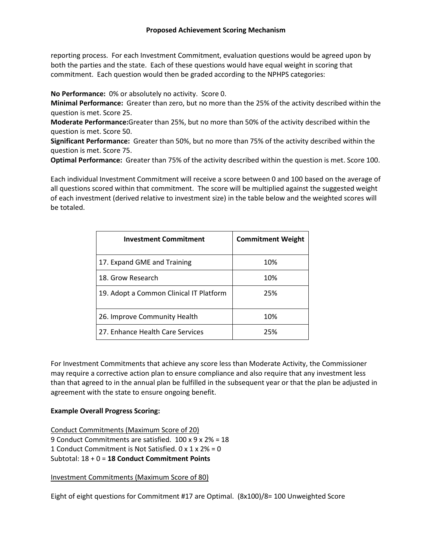## **Proposed Achievement Scoring Mechanism**

reporting process. For each Investment Commitment, evaluation questions would be agreed upon by both the parties and the state. Each of these questions would have equal weight in scoring that commitment. Each question would then be graded according to the NPHPS categories:

**No Performance:** 0% or absolutely no activity. Score 0.

**Minimal Performance:** Greater than zero, but no more than the 25% of the activity described within the question is met. Score 25.

**Moderate Performance:**Greater than 25%, but no more than 50% of the activity described within the question is met. Score 50.

**Significant Performance:** Greater than 50%, but no more than 75% of the activity described within the question is met. Score 75.

**Optimal Performance:** Greater than 75% of the activity described within the question is met. Score 100.

Each individual Investment Commitment will receive a score between 0 and 100 based on the average of all questions scored within that commitment. The score will be multiplied against the suggested weight of each investment (derived relative to investment size) in the table below and the weighted scores will be totaled.

| <b>Investment Commitment</b>            | <b>Commitment Weight</b> |
|-----------------------------------------|--------------------------|
| 17. Expand GME and Training             | 10%                      |
| 18. Grow Research                       | 10%                      |
| 19. Adopt a Common Clinical IT Platform | 25%                      |
| 26. Improve Community Health            | 10%                      |
| 27. Enhance Health Care Services        | 25%                      |

For Investment Commitments that achieve any score less than Moderate Activity, the Commissioner may require a corrective action plan to ensure compliance and also require that any investment less than that agreed to in the annual plan be fulfilled in the subsequent year or that the plan be adjusted in agreement with the state to ensure ongoing benefit.

# **Example Overall Progress Scoring:**

Conduct Commitments (Maximum Score of 20) 9 Conduct Commitments are satisfied. 100 x 9 x 2% = 18 1 Conduct Commitment is Not Satisfied. 0 x 1 x 2% = 0 Subtotal: 18 + 0 = **18 Conduct Commitment Points**

Investment Commitments (Maximum Score of 80)

Eight of eight questions for Commitment #17 are Optimal. (8x100)/8= 100 Unweighted Score